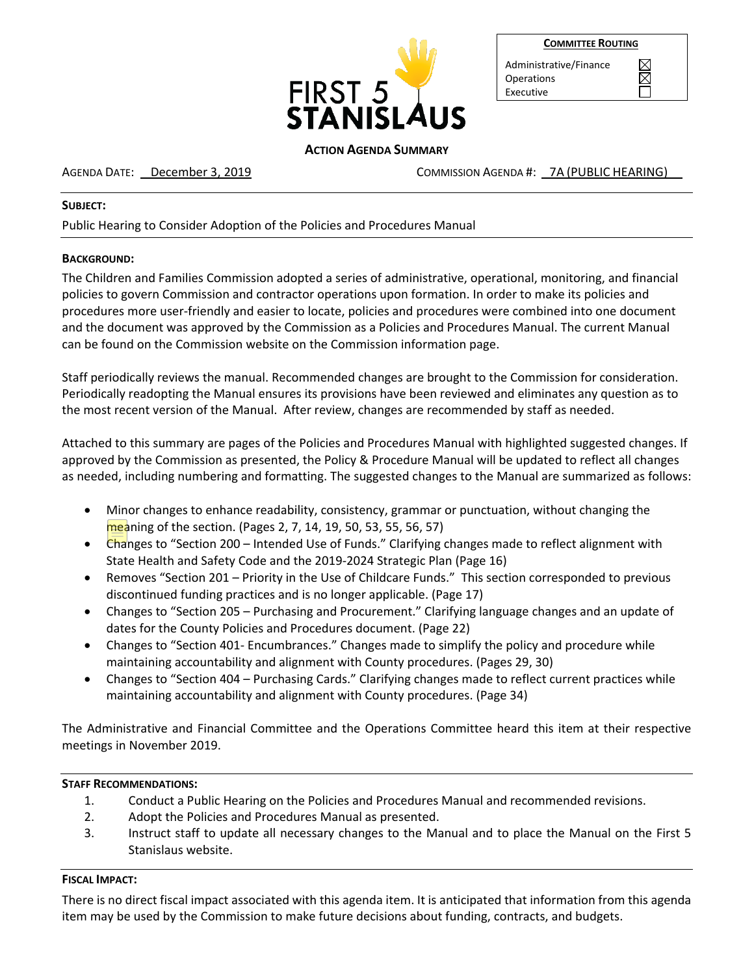

| <b>COMMITTEE ROUTING</b> |  |
|--------------------------|--|
|--------------------------|--|

 $\boxtimes$ 

Administrative/Finance Operations Executive

## **ACTION AGENDA SUMMARY**

AGENDA DATE: December 3, 2019 COMMISSION AGENDA #: 7A (PUBLIC HEARING)

### **SUBJECT:**

Public Hearing to Consider Adoption of the Policies and Procedures Manual

## **BACKGROUND:**

The Children and Families Commission adopted a series of administrative, operational, monitoring, and financial policies to govern Commission and contractor operations upon formation. In order to make its policies and procedures more user-friendly and easier to locate, policies and procedures were combined into one document and the document was approved by the Commission as a Policies and Procedures Manual. The current Manual can be found on the Commission website on the Commission information page.

Staff periodically reviews the manual. Recommended changes are brought to the Commission for consideration. Periodically readopting the Manual ensures its provisions have been reviewed and eliminates any question as to the most recent version of the Manual. After review, changes are recommended by staff as needed.

Attached to this summary are pages of the Policies and Procedures Manual with highlighted suggested changes. If approved by the Commission as presented, the Policy & Procedure Manual will be updated to reflect all changes as needed, including numbering and formatting. The suggested changes to the Manual are summarized as follows:

- Minor changes to enhance readability, consistency, grammar or punctuation, without changing the meaning of the section. (Pages 2, 7, 14, 19, 50, 53, 55, 56, 57)
- Changes to "Section 200 Intended Use of Funds." Clarifying changes made to reflect alignment with State Health and Safety Code and the 2019-2024 Strategic Plan (Page 16)
- Removes "Section 201 Priority in the Use of Childcare Funds." This section corresponded to previous discontinued funding practices and is no longer applicable. (Page 17)
- Changes to "Section 205 Purchasing and Procurement." Clarifying language changes and an update of dates for the County Policies and Procedures document. (Page 22)
- Changes to "Section 401- Encumbrances." Changes made to simplify the policy and procedure while maintaining accountability and alignment with County procedures. (Pages 29, 30)
- Changes to "Section 404 Purchasing Cards." Clarifying changes made to reflect current practices while maintaining accountability and alignment with County procedures. (Page 34)

The Administrative and Financial Committee and the Operations Committee heard this item at their respective meetings in November 2019.

# **STAFF RECOMMENDATIONS:**

- 1. Conduct a Public Hearing on the Policies and Procedures Manual and recommended revisions.
- 2. Adopt the Policies and Procedures Manual as presented.
- 3. Instruct staff to update all necessary changes to the Manual and to place the Manual on the First 5 Stanislaus website.

# **FISCAL IMPACT:**

There is no direct fiscal impact associated with this agenda item. It is anticipated that information from this agenda item may be used by the Commission to make future decisions about funding, contracts, and budgets.